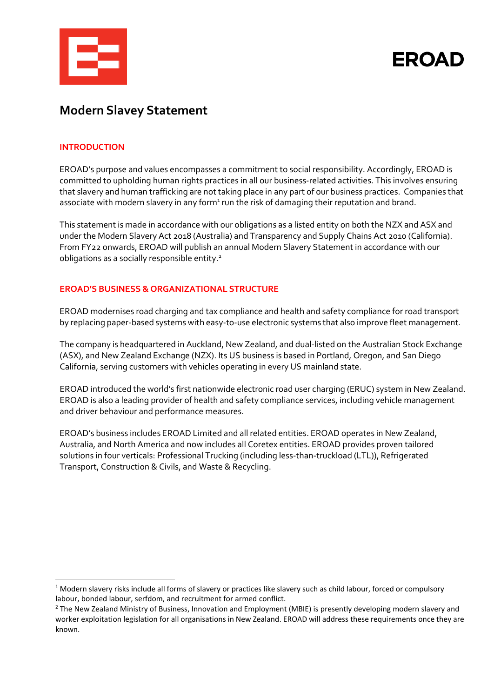

**EROAD** 

# **Modern Slavey Statement**

## **INTRODUCTION**

EROAD's purpose and values encompasses a commitment to social responsibility. Accordingly, EROAD is committed to upholding human rights practices in all our business-related activities. This involves ensuring that slavery and human trafficking are not taking place in any part of our business practices. Companies that associate with modern slavery in any form<sup>1</sup> run the risk of damaging their reputation and brand.

This statement is made in accordance with our obligations as a listed entity on both the NZX and ASX and under the Modern Slavery Act 2018 (Australia) and Transparency and Supply Chains Act 2010 (California). From FY22 onwards, EROAD will publish an annual Modern Slavery Statement in accordance with our obligations as a socially responsible entity.<sup>2</sup>

# **EROAD'S BUSINESS & ORGANIZATIONAL STRUCTURE**

EROAD modernises road charging and tax compliance and health and safety compliance for road transport by replacing paper-based systems with easy-to-use electronic systems that also improve fleet management.

The company is headquartered in Auckland, New Zealand, and dual-listed on the Australian Stock Exchange (ASX), and New Zealand Exchange (NZX). Its US business is based in Portland, Oregon, and San Diego California, serving customers with vehicles operating in every US mainland state.

EROAD introduced the world's first nationwide electronic road user charging (ERUC) system in New Zealand. EROAD is also a leading provider of health and safety compliance services, including vehicle management and driver behaviour and performance measures.

EROAD's business includes EROAD Limited and all related entities. EROAD operates in New Zealand, Australia, and North America and now includes all Coretex entities. EROAD provides proven tailored solutions in four verticals: Professional Trucking (including less-than-truckload (LTL)), Refrigerated Transport, Construction & Civils, and Waste & Recycling.

<span id="page-0-0"></span><sup>&</sup>lt;sup>1</sup> Modern slavery risks include all forms of slavery or practices like slavery such as child labour, forced or compulsory labour, bonded labour, serfdom, and recruitment for armed conflict.

<span id="page-0-1"></span><sup>&</sup>lt;sup>2</sup> The New Zealand Ministry of Business, Innovation and Employment (MBIE) is presently developing modern slavery and worker exploitation legislation for all organisations in New Zealand. EROAD will address these requirements once they are known.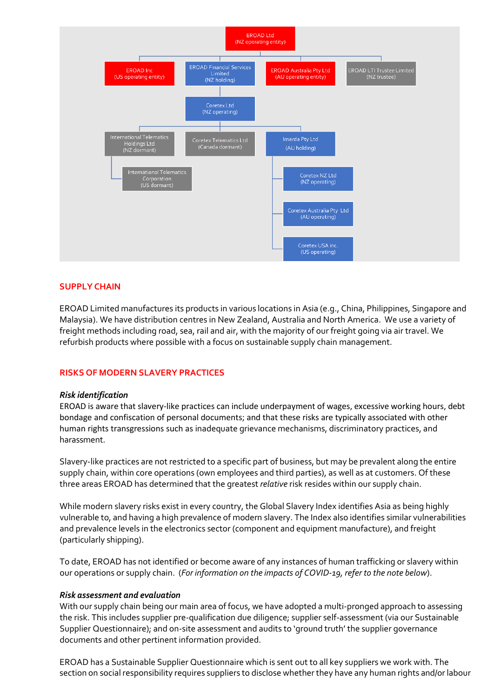

## **SUPPLY CHAIN**

EROAD Limited manufactures its products in various locations in Asia (e.g., China, Philippines, Singapore and Malaysia). We have distribution centres in New Zealand, Australia and North America. We use a variety of freight methods including road, sea, rail and air, with the majority of our freight going via air travel. We refurbish products where possible with a focus on sustainable supply chain management.

## **RISKS OF MODERN SLAVERY PRACTICES**

## *Risk identification*

EROAD is aware that slavery-like practices can include underpayment of wages, excessive working hours, debt bondage and confiscation of personal documents; and that these risks are typically associated with other human rights transgressions such as inadequate grievance mechanisms, discriminatory practices, and harassment.

Slavery-like practices are not restricted to a specific part of business, but may be prevalent along the entire supply chain, within core operations (own employees and third parties), as well as at customers. Of these three areas EROAD has determined that the greatest *relative* risk resides within our supply chain.

While modern slavery risks exist in every country, the Global Slavery Index identifies Asia as being highly vulnerable to, and having a high prevalence of modern slavery. The Index also identifies similar vulnerabilities and prevalence levels in the electronics sector (component and equipment manufacture), and freight (particularly shipping).

To date, EROAD has not identified or become aware of any instances of human trafficking or slavery within our operations or supply chain. (*For information on the impacts of COVID-19, refer to the note below*).

## *Risk assessment and evaluation*

With our supply chain being our main area of focus, we have adopted a multi-pronged approach to assessing the risk. This includes supplier pre-qualification due diligence; supplier self-assessment (via our Sustainable Supplier Questionnaire); and on-site assessment and audits to 'ground truth' the supplier governance documents and other pertinent information provided.

EROAD has a Sustainable Supplier Questionnaire which is sent out to all key suppliers we work with. The section on social responsibility requires suppliers to disclose whether they have any human rights and/or labour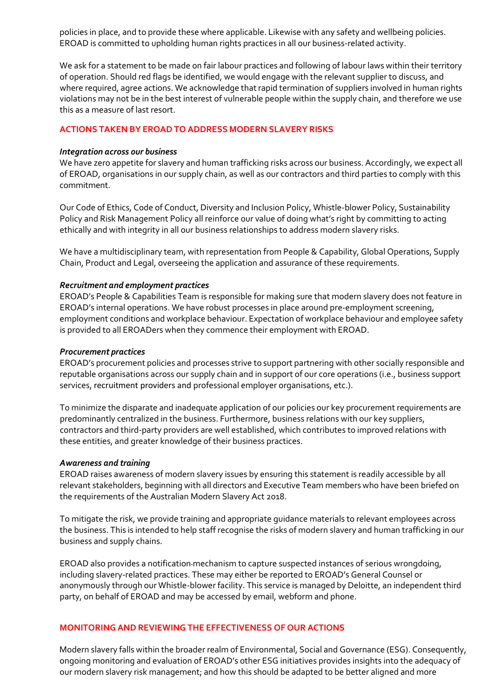policies in place, and to provide these where applicable. Likewise with any safety and wellbeing policies. EROAD is committed to upholding human rights practices in all our business-related activity.

We ask for a statement to be made on fair labour practices and following of labour laws within their territory of operation. Should red flags be identified, we would engage with the relevant supplier to discuss, and where required, agree actions. We acknowledge that rapid termination of suppliers involved in human rights violations may not be in the best interest of vulnerable people within the supply chain, and therefore we use this as a measure of last resort.

# **ACTIONS TAKEN BY EROADTO ADDRESS MODERN SLAVERY RISKS**

## *Integration across our business*

We have zero appetite for slavery and human trafficking risks across our business. Accordingly, we expect all of EROAD, organisations in our supply chain, as well as our contractors and third parties to comply with this commitment.

Our Code of Ethics, Code of Conduct, Diversity and Inclusion Policy, Whistle-blower Policy, Sustainability Policy and Risk Management Policy all reinforce our value of doing what's right by committing to acting ethically and with integrity in all our business relationships to address modern slavery risks.

We have a multidisciplinary team, with representation from People & Capability, Global Operations, Supply Chain, Product and Legal, overseeing the application and assurance of these requirements.

#### *Recruitment and employment practices*

EROAD's People & Capabilities Team is responsible for making sure that modern slavery does not feature in EROAD's internal operations. We have robust processes in place around pre-employment screening, employment conditions and workplace behaviour. Expectation of workplace behaviour and employee safety is provided to all EROADers when they commence their employment with EROAD.

### *Procurement practices*

EROAD's procurement policies and processes strive to support partnering with other socially responsible and reputable organisations across our supply chain and in support of our core operations (i.e., business support services, recruitment providers and professional employer organisations, etc.).

To minimize the disparate and inadequate application of our policies our key procurement requirements are predominantly centralized in the business. Furthermore, business relations with our key suppliers, contractors and third-party providers are well established, which contributes to improved relations with these entities, and greater knowledge of their business practices.

#### *Awareness and training*

EROAD raises awareness of modern slavery issues by ensuring this statement is readily accessible by all relevant stakeholders, beginning with all directors and Executive Team members who have been briefed on the requirements of the Australian Modern Slavery Act 2018.

To mitigate the risk, we provide training and appropriate guidance materials to relevant employees across the business. This is intended to help staff recognise the risks of modern slavery and human trafficking in our business and supply chains.

EROAD also provides a notification-mechanism to capture suspected instances of serious wrongdoing, including slavery-related practices. These may either be reported to EROAD's General Counsel or anonymously through our Whistle-blower facility. This service is managed by Deloitte, an independent third party, on behalf of EROAD and may be accessed by email, webform and phone.

## **MONITORINGANDREVIEWING THE EFFECTIVENESS OF OUR ACTIONS**

Modern slavery falls within the broader realm of Environmental, Social and Governance (ESG). Consequently, ongoing monitoring and evaluation of EROAD's other ESG initiatives provides insights into the adequacy of our modern slavery risk management; and how this should be adapted to be better aligned and more